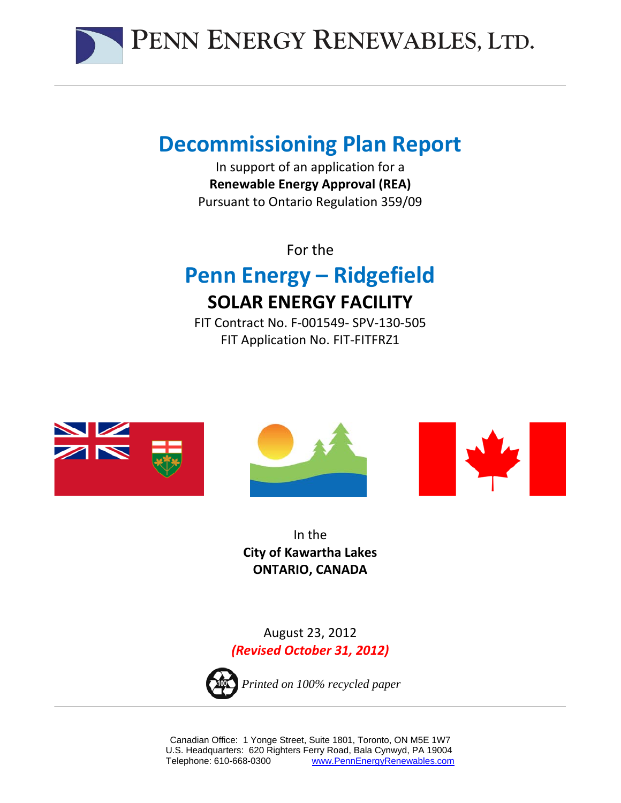

# **Decommissioning Plan Report**

In support of an application for a **Renewable Energy Approval (REA)** Pursuant to Ontario Regulation 359/09

For the

# **Penn Energy – Ridgefield SOLAR ENERGY FACILITY**

FIT Contract No. F‐001549‐ SPV‐130‐505 FIT Application No. FIT‐FITFRZ1







In the **City of Kawartha Lakes ONTARIO, CANADA**

August 23, 2012 *(Revised October 31, 2012)*



*Printed on 100% recycled paper*

Canadian Office: 1 Yonge Street, Suite 1801, Toronto, ON M5E 1W7 U.S. Headquarters: 620 Righters Ferry Road, Bala Cynwyd, PA 19004 Telephone: 610-668-0300 www.PennEnergyRenewables.com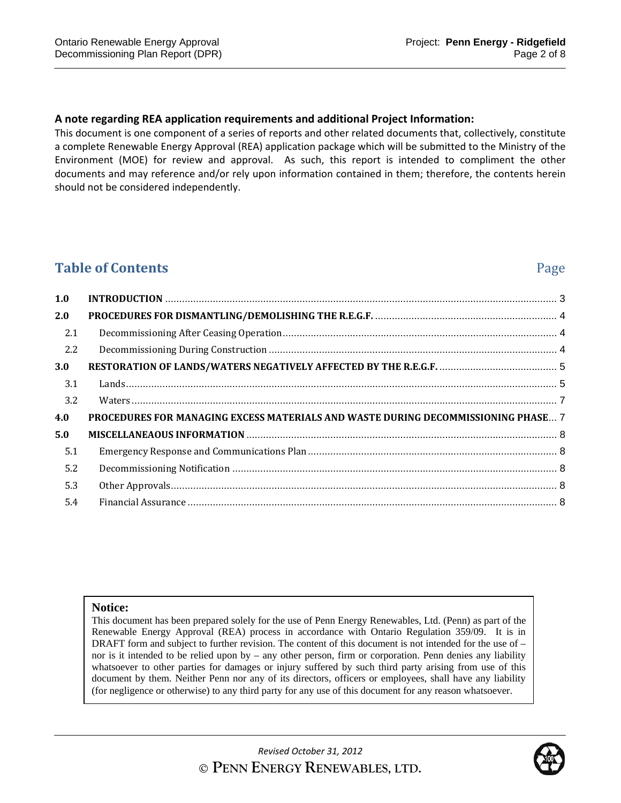#### **A note regarding REA application requirements and additional Project Information:**

This document is one component of a series of reports and other related documents that, collectively, constitute a complete Renewable Energy Approval (REA) application package which will be submitted to the Ministry of the Environment (MOE) for review and approval. As such, this report is intended to compliment the other documents and may reference and/or rely upon information contained in them; therefore, the contents herein should not be considered independently.

# **Table of Contents** Page

| 1.0 |                                                                                   |  |
|-----|-----------------------------------------------------------------------------------|--|
| 2.0 |                                                                                   |  |
| 2.1 |                                                                                   |  |
| 2.2 |                                                                                   |  |
| 3.0 |                                                                                   |  |
| 3.1 |                                                                                   |  |
| 3.2 |                                                                                   |  |
| 4.0 | PROCEDURES FOR MANAGING EXCESS MATERIALS AND WASTE DURING DECOMMISSIONING PHASE 7 |  |
| 5.0 |                                                                                   |  |
| 5.1 |                                                                                   |  |
| 5.2 |                                                                                   |  |
| 5.3 |                                                                                   |  |
| 5.4 |                                                                                   |  |

#### **Notice:**

This document has been prepared solely for the use of Penn Energy Renewables, Ltd. (Penn) as part of the Renewable Energy Approval (REA) process in accordance with Ontario Regulation 359/09. It is in DRAFT form and subject to further revision. The content of this document is not intended for the use of – nor is it intended to be relied upon by – any other person, firm or corporation. Penn denies any liability whatsoever to other parties for damages or injury suffered by such third party arising from use of this document by them. Neither Penn nor any of its directors, officers or employees, shall have any liability (for negligence or otherwise) to any third party for any use of this document for any reason whatsoever.

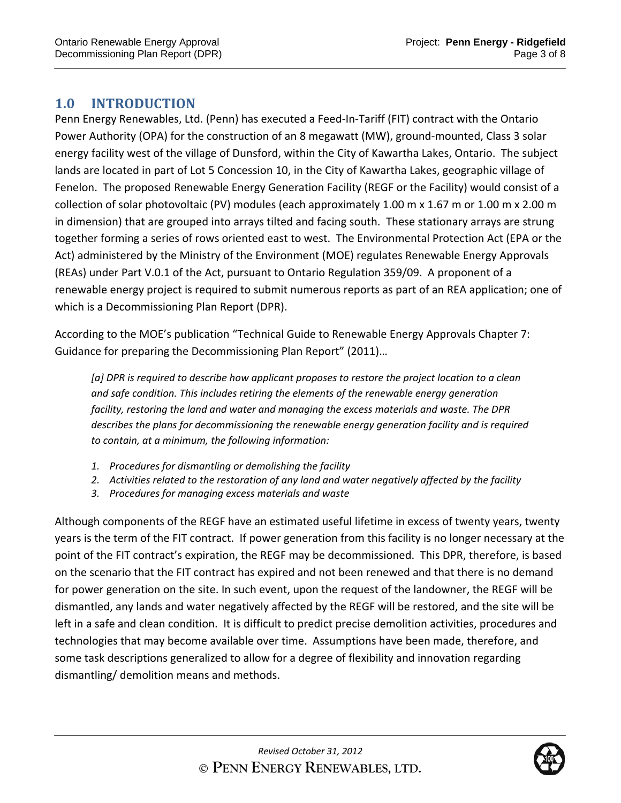# **1.0 INTRODUCTION**

Penn Energy Renewables, Ltd. (Penn) has executed a Feed‐In‐Tariff (FIT) contract with the Ontario Power Authority (OPA) for the construction of an 8 megawatt (MW), ground‐mounted, Class 3 solar energy facility west of the village of Dunsford, within the City of Kawartha Lakes, Ontario. The subject lands are located in part of Lot 5 Concession 10, in the City of Kawartha Lakes, geographic village of Fenelon. The proposed Renewable Energy Generation Facility (REGF or the Facility) would consist of a collection of solar photovoltaic (PV) modules (each approximately 1.00 m x 1.67 m or 1.00 m x 2.00 m in dimension) that are grouped into arrays tilted and facing south. These stationary arrays are strung together forming a series of rows oriented east to west. The Environmental Protection Act (EPA or the Act) administered by the Ministry of the Environment (MOE) regulates Renewable Energy Approvals (REAs) under Part V.0.1 of the Act, pursuant to Ontario Regulation 359/09. A proponent of a renewable energy project is required to submit numerous reports as part of an REA application; one of which is a Decommissioning Plan Report (DPR).

According to the MOE's publication "Technical Guide to Renewable Energy Approvals Chapter 7: Guidance for preparing the Decommissioning Plan Report" (2011)…

*[a] DPR is required to describe how applicant proposes to restore the project location to a clean and safe condition. This includes retiring the elements of the renewable energy generation facility, restoring the land and water and managing the excess materials and waste. The DPR describes the plans for decommissioning the renewable energy generation facility and is required to contain, at a minimum, the following information:*

- *1. Procedures for dismantling or demolishing the facility*
- *2. Activities related to the restoration of any land and water negatively affected by the facility*
- *3. Procedures for managing excess materials and waste*

Although components of the REGF have an estimated useful lifetime in excess of twenty years, twenty years is the term of the FIT contract. If power generation from this facility is no longer necessary at the point of the FIT contract's expiration, the REGF may be decommissioned. This DPR, therefore, is based on the scenario that the FIT contract has expired and not been renewed and that there is no demand for power generation on the site. In such event, upon the request of the landowner, the REGF will be dismantled, any lands and water negatively affected by the REGF will be restored, and the site will be left in a safe and clean condition. It is difficult to predict precise demolition activities, procedures and technologies that may become available over time. Assumptions have been made, therefore, and some task descriptions generalized to allow for a degree of flexibility and innovation regarding dismantling/ demolition means and methods.

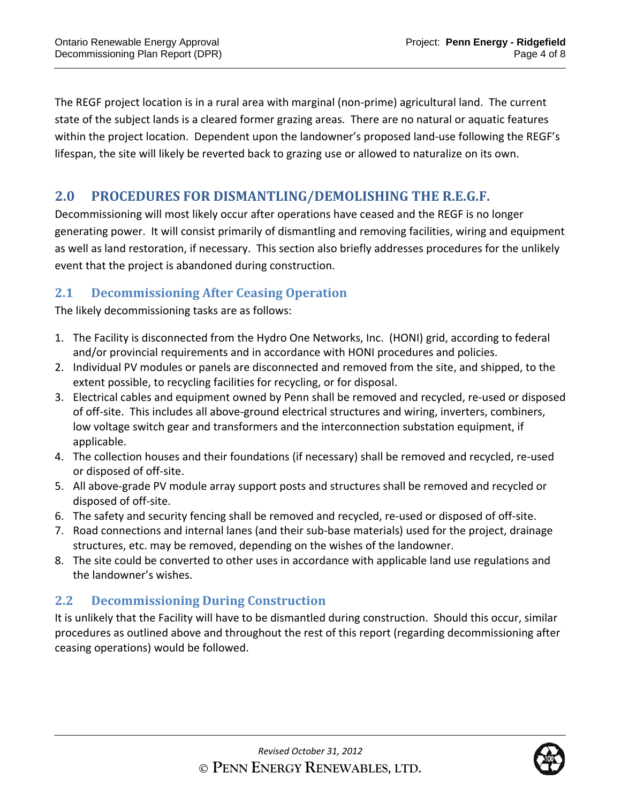The REGF project location is in a rural area with marginal (non‐prime) agricultural land. The current state of the subject lands is a cleared former grazing areas. There are no natural or aquatic features within the project location. Dependent upon the landowner's proposed land-use following the REGF's lifespan, the site will likely be reverted back to grazing use or allowed to naturalize on its own.

# **2.0 PROCEDURES FOR DISMANTLING/DEMOLISHING THE R.E.G.F.**

Decommissioning will most likely occur after operations have ceased and the REGF is no longer generating power. It will consist primarily of dismantling and removing facilities, wiring and equipment as well as land restoration, if necessary. This section also briefly addresses procedures for the unlikely event that the project is abandoned during construction.

# **2.1 Decommissioning After Ceasing Operation**

The likely decommissioning tasks are as follows:

- 1. The Facility is disconnected from the Hydro One Networks, Inc. (HONI) grid, according to federal and/or provincial requirements and in accordance with HONI procedures and policies.
- 2. Individual PV modules or panels are disconnected and removed from the site, and shipped, to the extent possible, to recycling facilities for recycling, or for disposal.
- 3. Electrical cables and equipment owned by Penn shall be removed and recycled, re‐used or disposed of off-site. This includes all above-ground electrical structures and wiring, inverters, combiners, low voltage switch gear and transformers and the interconnection substation equipment, if applicable.
- 4. The collection houses and their foundations (if necessary) shall be removed and recycled, re‐used or disposed of off‐site.
- 5. All above-grade PV module array support posts and structures shall be removed and recycled or disposed of off‐site.
- 6. The safety and security fencing shall be removed and recycled, re‐used or disposed of off‐site.
- 7. Road connections and internal lanes (and their sub-base materials) used for the project, drainage structures, etc. may be removed, depending on the wishes of the landowner.
- 8. The site could be converted to other uses in accordance with applicable land use regulations and the landowner's wishes.

# **2.2 Decommissioning During Construction**

It is unlikely that the Facility will have to be dismantled during construction. Should this occur, similar procedures as outlined above and throughout the rest of this report (regarding decommissioning after ceasing operations) would be followed.

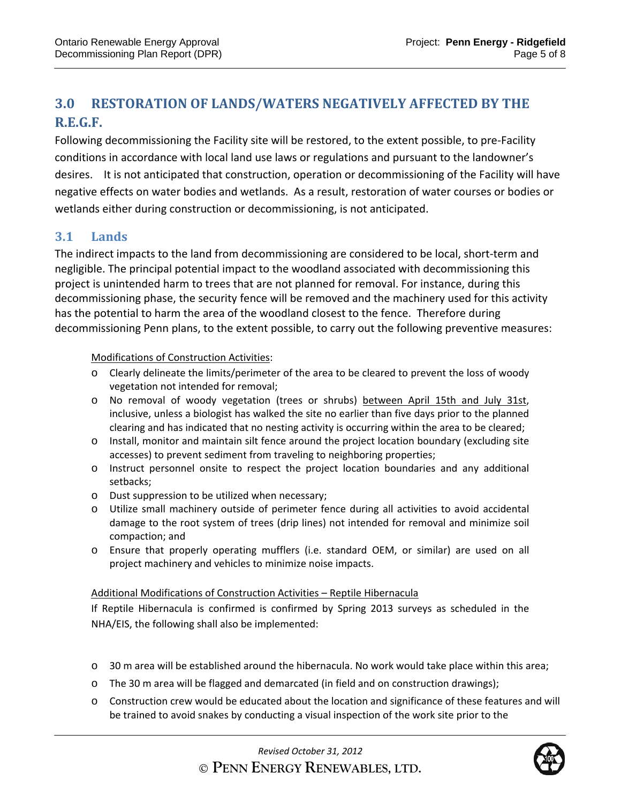# **3.0 RESTORATION OF LANDS/WATERS NEGATIVELY AFFECTED BY THE R.E.G.F.**

Following decommissioning the Facility site will be restored, to the extent possible, to pre‐Facility conditions in accordance with local land use laws or regulations and pursuant to the landowner's desires. It is not anticipated that construction, operation or decommissioning of the Facility will have negative effects on water bodies and wetlands. As a result, restoration of water courses or bodies or wetlands either during construction or decommissioning, is not anticipated.

# **3.1 Lands**

The indirect impacts to the land from decommissioning are considered to be local, short‐term and negligible. The principal potential impact to the woodland associated with decommissioning this project is unintended harm to trees that are not planned for removal. For instance, during this decommissioning phase, the security fence will be removed and the machinery used for this activity has the potential to harm the area of the woodland closest to the fence. Therefore during decommissioning Penn plans, to the extent possible, to carry out the following preventive measures:

#### Modifications of Construction Activities:

- o Clearly delineate the limits/perimeter of the area to be cleared to prevent the loss of woody vegetation not intended for removal;
- o No removal of woody vegetation (trees or shrubs) between April 15th and July 31st, inclusive, unless a biologist has walked the site no earlier than five days prior to the planned clearing and has indicated that no nesting activity is occurring within the area to be cleared;
- o Install, monitor and maintain silt fence around the project location boundary (excluding site accesses) to prevent sediment from traveling to neighboring properties;
- o Instruct personnel onsite to respect the project location boundaries and any additional setbacks;
- o Dust suppression to be utilized when necessary;
- o Utilize small machinery outside of perimeter fence during all activities to avoid accidental damage to the root system of trees (drip lines) not intended for removal and minimize soil compaction; and
- o Ensure that properly operating mufflers (i.e. standard OEM, or similar) are used on all project machinery and vehicles to minimize noise impacts.

#### Additional Modifications of Construction Activities – Reptile Hibernacula

If Reptile Hibernacula is confirmed is confirmed by Spring 2013 surveys as scheduled in the NHA/EIS, the following shall also be implemented:

- o 30 m area will be established around the hibernacula. No work would take place within this area;
- o The 30 m area will be flagged and demarcated (in field and on construction drawings);
- o Construction crew would be educated about the location and significance of these features and will be trained to avoid snakes by conducting a visual inspection of the work site prior to the

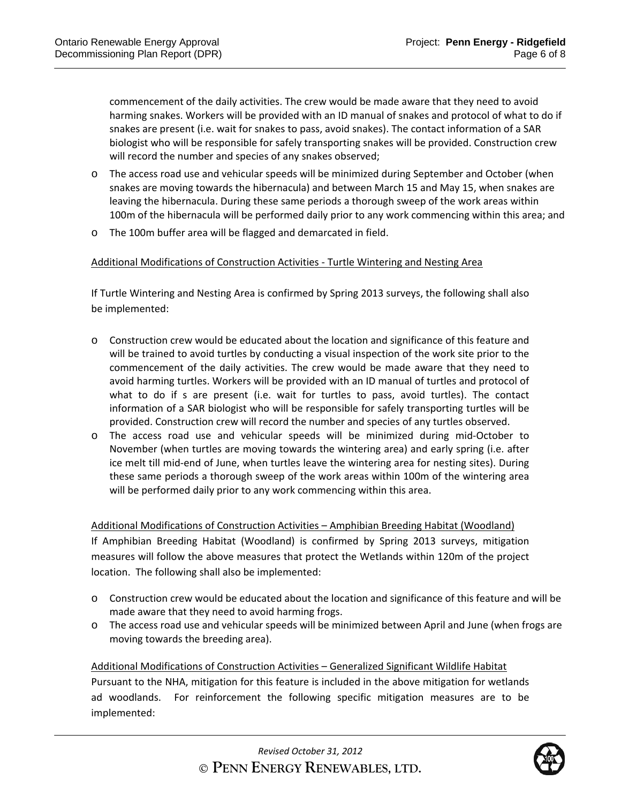commencement of the daily activities. The crew would be made aware that they need to avoid harming snakes. Workers will be provided with an ID manual of snakes and protocol of what to do if snakes are present (i.e. wait for snakes to pass, avoid snakes). The contact information of a SAR biologist who will be responsible for safely transporting snakes will be provided. Construction crew will record the number and species of any snakes observed;

- o The access road use and vehicular speeds will be minimized during September and October (when snakes are moving towards the hibernacula) and between March 15 and May 15, when snakes are leaving the hibernacula. During these same periods a thorough sweep of the work areas within 100m of the hibernacula will be performed daily prior to any work commencing within this area; and
- o The 100m buffer area will be flagged and demarcated in field.

#### Additional Modifications of Construction Activities ‐ Turtle Wintering and Nesting Area

If Turtle Wintering and Nesting Area is confirmed by Spring 2013 surveys, the following shall also be implemented:

- o Construction crew would be educated about the location and significance of this feature and will be trained to avoid turtles by conducting a visual inspection of the work site prior to the commencement of the daily activities. The crew would be made aware that they need to avoid harming turtles. Workers will be provided with an ID manual of turtles and protocol of what to do if s are present (i.e. wait for turtles to pass, avoid turtles). The contact information of a SAR biologist who will be responsible for safely transporting turtles will be provided. Construction crew will record the number and species of any turtles observed.
- o The access road use and vehicular speeds will be minimized during mid‐October to November (when turtles are moving towards the wintering area) and early spring (i.e. after ice melt till mid‐end of June, when turtles leave the wintering area for nesting sites). During these same periods a thorough sweep of the work areas within 100m of the wintering area will be performed daily prior to any work commencing within this area.

Additional Modifications of Construction Activities – Amphibian Breeding Habitat (Woodland) If Amphibian Breeding Habitat (Woodland) is confirmed by Spring 2013 surveys, mitigation measures will follow the above measures that protect the Wetlands within 120m of the project location. The following shall also be implemented:

- o Construction crew would be educated about the location and significance of this feature and will be made aware that they need to avoid harming frogs.
- o The access road use and vehicular speeds will be minimized between April and June (when frogs are moving towards the breeding area).

Additional Modifications of Construction Activities – Generalized Significant Wildlife Habitat Pursuant to the NHA, mitigation for this feature is included in the above mitigation for wetlands ad woodlands. For reinforcement the following specific mitigation measures are to be implemented:

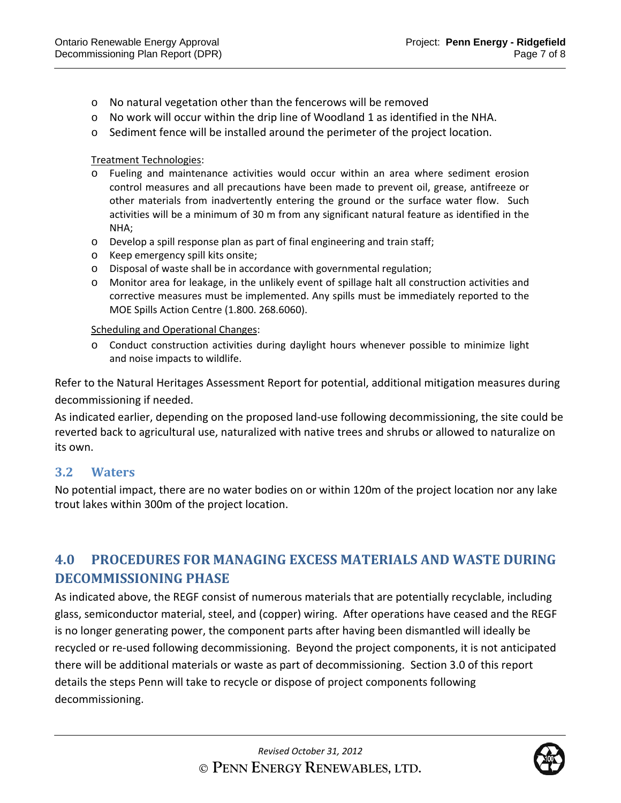- o No natural vegetation other than the fencerows will be removed
- o No work will occur within the drip line of Woodland 1 as identified in the NHA.
- $\circ$  Sediment fence will be installed around the perimeter of the project location.

Treatment Technologies:

- o Fueling and maintenance activities would occur within an area where sediment erosion control measures and all precautions have been made to prevent oil, grease, antifreeze or other materials from inadvertently entering the ground or the surface water flow. Such activities will be a minimum of 30 m from any significant natural feature as identified in the NHA;
- o Develop a spill response plan as part of final engineering and train staff;
- o Keep emergency spill kits onsite;
- o Disposal of waste shall be in accordance with governmental regulation;
- o Monitor area for leakage, in the unlikely event of spillage halt all construction activities and corrective measures must be implemented. Any spills must be immediately reported to the MOE Spills Action Centre (1.800. 268.6060).

Scheduling and Operational Changes:

o Conduct construction activities during daylight hours whenever possible to minimize light and noise impacts to wildlife.

Refer to the Natural Heritages Assessment Report for potential, additional mitigation measures during decommissioning if needed.

As indicated earlier, depending on the proposed land‐use following decommissioning, the site could be reverted back to agricultural use, naturalized with native trees and shrubs or allowed to naturalize on its own.

### **3.2 Waters**

No potential impact, there are no water bodies on or within 120m of the project location nor any lake trout lakes within 300m of the project location.

# **4.0 PROCEDURES FOR MANAGING EXCESS MATERIALS AND WASTE DURING DECOMMISSIONING** PHASE

As indicated above, the REGF consist of numerous materials that are potentially recyclable, including glass, semiconductor material, steel, and (copper) wiring. After operations have ceased and the REGF is no longer generating power, the component parts after having been dismantled will ideally be recycled or re‐used following decommissioning. Beyond the project components, it is not anticipated there will be additional materials or waste as part of decommissioning. Section 3.0 of this report details the steps Penn will take to recycle or dispose of project components following decommissioning.